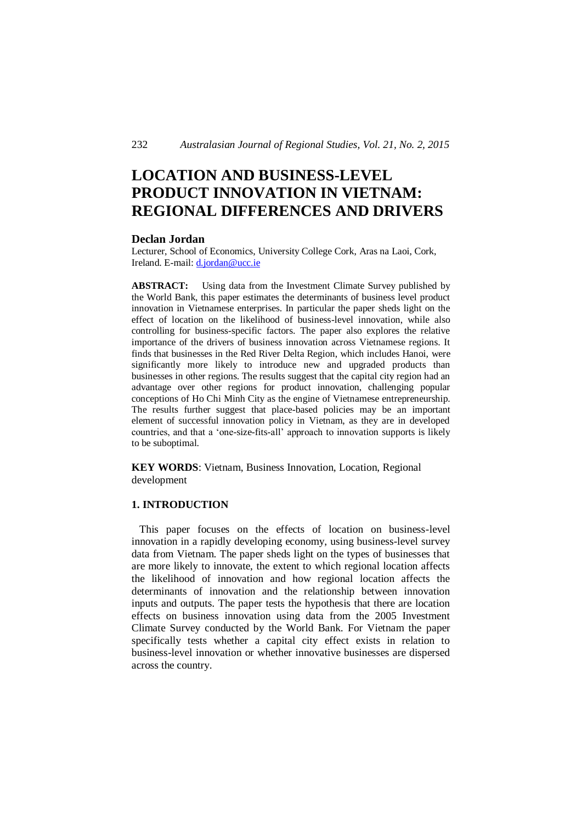# **LOCATION AND BUSINESS-LEVEL PRODUCT INNOVATION IN VIETNAM: REGIONAL DIFFERENCES AND DRIVERS**

#### **Declan Jordan**

Lecturer, School of Economics, University College Cork, Aras na Laoi, Cork, Ireland. E-mail: d.jordan@ucc.ie

**ABSTRACT:** Using data from the Investment Climate Survey published by the World Bank, this paper estimates the determinants of business level product innovation in Vietnamese enterprises. In particular the paper sheds light on the effect of location on the likelihood of business-level innovation, while also controlling for business-specific factors. The paper also explores the relative importance of the drivers of business innovation across Vietnamese regions. It finds that businesses in the Red River Delta Region, which includes Hanoi, were significantly more likely to introduce new and upgraded products than businesses in other regions. The results suggest that the capital city region had an advantage over other regions for product innovation, challenging popular conceptions of Ho Chi Minh City as the engine of Vietnamese entrepreneurship. The results further suggest that place-based policies may be an important element of successful innovation policy in Vietnam, as they are in developed countries, and that a 'one-size-fits-all' approach to innovation supports is likely to be suboptimal.

**KEY WORDS**: Vietnam, Business Innovation, Location, Regional development

#### **1. INTRODUCTION**

 This paper focuses on the effects of location on business-level innovation in a rapidly developing economy, using business-level survey data from Vietnam. The paper sheds light on the types of businesses that are more likely to innovate, the extent to which regional location affects the likelihood of innovation and how regional location affects the determinants of innovation and the relationship between innovation inputs and outputs. The paper tests the hypothesis that there are location effects on business innovation using data from the 2005 Investment Climate Survey conducted by the World Bank. For Vietnam the paper specifically tests whether a capital city effect exists in relation to business-level innovation or whether innovative businesses are dispersed across the country.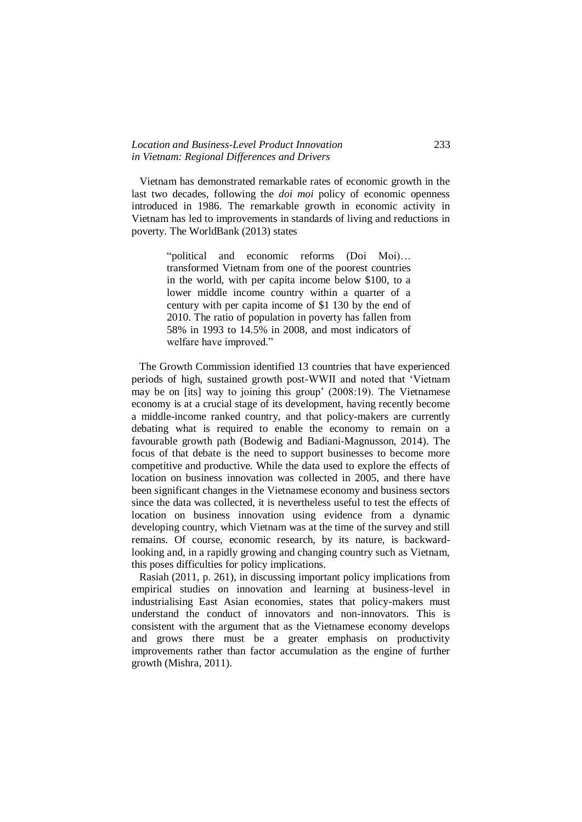#### *Location and Business-Level Product Innovation* 233 *in Vietnam: Regional Differences and Drivers*

 Vietnam has demonstrated remarkable rates of economic growth in the last two decades, following the *doi moi* policy of economic openness introduced in 1986. The remarkable growth in economic activity in Vietnam has led to improvements in standards of living and reductions in poverty. The WorldBank (2013) states

> "political and economic reforms (Doi Moi)… transformed Vietnam from one of the poorest countries in the world, with per capita income below \$100, to a lower middle income country within a quarter of a century with per capita income of \$1 130 by the end of 2010. The ratio of population in poverty has fallen from 58% in 1993 to 14.5% in 2008, and most indicators of welfare have improved."

 The Growth Commission identified 13 countries that have experienced periods of high, sustained growth post-WWII and noted that 'Vietnam may be on [its] way to joining this group' (2008:19). The Vietnamese economy is at a crucial stage of its development, having recently become a middle-income ranked country, and that policy-makers are currently debating what is required to enable the economy to remain on a favourable growth path (Bodewig and Badiani-Magnusson, 2014). The focus of that debate is the need to support businesses to become more competitive and productive. While the data used to explore the effects of location on business innovation was collected in 2005, and there have been significant changes in the Vietnamese economy and business sectors since the data was collected, it is nevertheless useful to test the effects of location on business innovation using evidence from a dynamic developing country, which Vietnam was at the time of the survey and still remains. Of course, economic research, by its nature, is backwardlooking and, in a rapidly growing and changing country such as Vietnam, this poses difficulties for policy implications.

 Rasiah (2011, p. 261), in discussing important policy implications from empirical studies on innovation and learning at business-level in industrialising East Asian economies, states that policy-makers must understand the conduct of innovators and non-innovators. This is consistent with the argument that as the Vietnamese economy develops and grows there must be a greater emphasis on productivity improvements rather than factor accumulation as the engine of further growth (Mishra, 2011).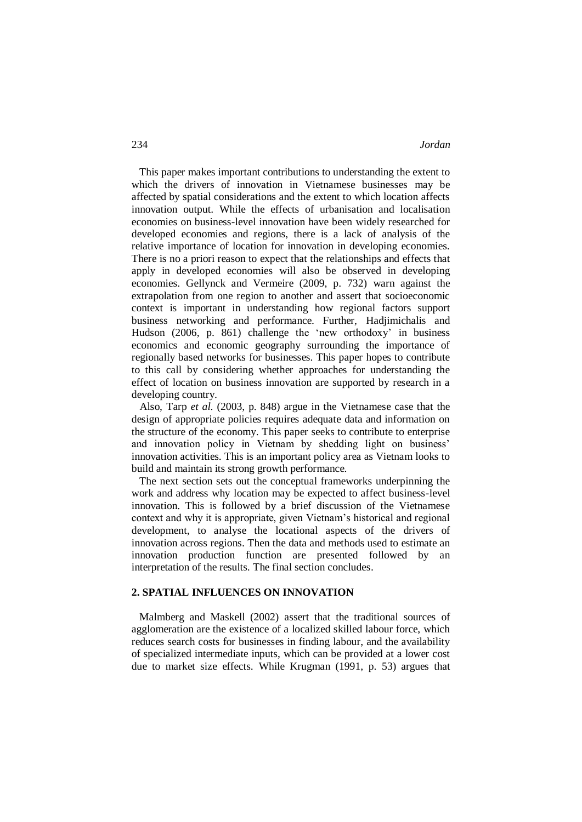This paper makes important contributions to understanding the extent to which the drivers of innovation in Vietnamese businesses may be affected by spatial considerations and the extent to which location affects innovation output. While the effects of urbanisation and localisation economies on business-level innovation have been widely researched for developed economies and regions, there is a lack of analysis of the relative importance of location for innovation in developing economies. There is no a priori reason to expect that the relationships and effects that apply in developed economies will also be observed in developing economies. Gellynck and Vermeire (2009, p. 732) warn against the extrapolation from one region to another and assert that socioeconomic context is important in understanding how regional factors support business networking and performance. Further, Hadjimichalis and Hudson (2006, p. 861) challenge the 'new orthodoxy' in business economics and economic geography surrounding the importance of regionally based networks for businesses. This paper hopes to contribute to this call by considering whether approaches for understanding the effect of location on business innovation are supported by research in a developing country.

 Also, Tarp *et al*. (2003, p. 848) argue in the Vietnamese case that the design of appropriate policies requires adequate data and information on the structure of the economy. This paper seeks to contribute to enterprise and innovation policy in Vietnam by shedding light on business' innovation activities. This is an important policy area as Vietnam looks to build and maintain its strong growth performance.

 The next section sets out the conceptual frameworks underpinning the work and address why location may be expected to affect business-level innovation. This is followed by a brief discussion of the Vietnamese context and why it is appropriate, given Vietnam's historical and regional development, to analyse the locational aspects of the drivers of innovation across regions. Then the data and methods used to estimate an innovation production function are presented followed by an interpretation of the results. The final section concludes.

#### **2. SPATIAL INFLUENCES ON INNOVATION**

 Malmberg and Maskell (2002) assert that the traditional sources of agglomeration are the existence of a localized skilled labour force, which reduces search costs for businesses in finding labour, and the availability of specialized intermediate inputs, which can be provided at a lower cost due to market size effects. While Krugman (1991, p. 53) argues that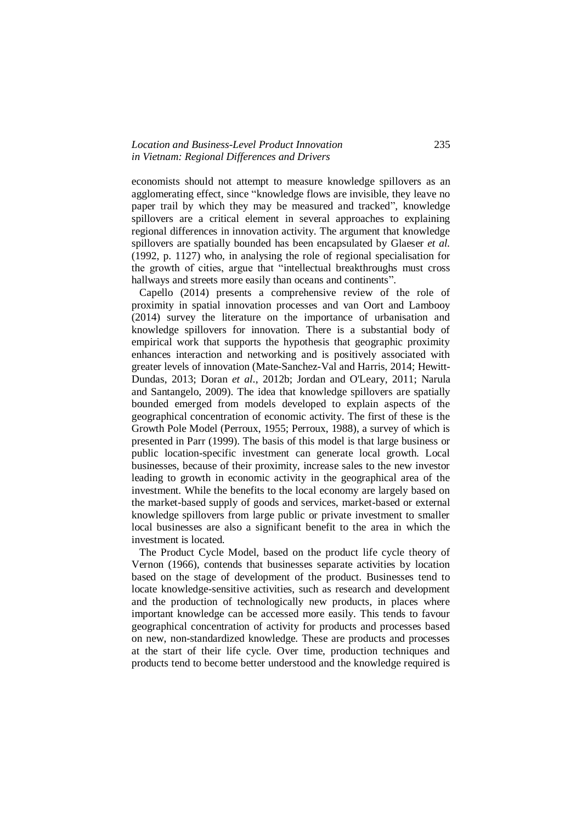#### *Location and Business-Level Product Innovation* 235 *in Vietnam: Regional Differences and Drivers*

economists should not attempt to measure knowledge spillovers as an agglomerating effect, since "knowledge flows are invisible, they leave no paper trail by which they may be measured and tracked", knowledge spillovers are a critical element in several approaches to explaining regional differences in innovation activity. The argument that knowledge spillovers are spatially bounded has been encapsulated by Glaeser *et al.* (1992, p. 1127) who, in analysing the role of regional specialisation for the growth of cities, argue that "intellectual breakthroughs must cross hallways and streets more easily than oceans and continents".

 Capello (2014) presents a comprehensive review of the role of proximity in spatial innovation processes and van Oort and Lambooy (2014) survey the literature on the importance of urbanisation and knowledge spillovers for innovation. There is a substantial body of empirical work that supports the hypothesis that geographic proximity enhances interaction and networking and is positively associated with greater levels of innovation (Mate-Sanchez-Val and Harris, 2014; Hewitt-Dundas, 2013; Doran *et al*., 2012b; Jordan and O'Leary, 2011; Narula and Santangelo, 2009). The idea that knowledge spillovers are spatially bounded emerged from models developed to explain aspects of the geographical concentration of economic activity. The first of these is the Growth Pole Model (Perroux, 1955; Perroux, 1988), a survey of which is presented in Parr (1999). The basis of this model is that large business or public location-specific investment can generate local growth. Local businesses, because of their proximity, increase sales to the new investor leading to growth in economic activity in the geographical area of the investment. While the benefits to the local economy are largely based on the market-based supply of goods and services, market-based or external knowledge spillovers from large public or private investment to smaller local businesses are also a significant benefit to the area in which the investment is located.

 The Product Cycle Model, based on the product life cycle theory of Vernon (1966), contends that businesses separate activities by location based on the stage of development of the product. Businesses tend to locate knowledge-sensitive activities, such as research and development and the production of technologically new products, in places where important knowledge can be accessed more easily. This tends to favour geographical concentration of activity for products and processes based on new, non-standardized knowledge. These are products and processes at the start of their life cycle. Over time, production techniques and products tend to become better understood and the knowledge required is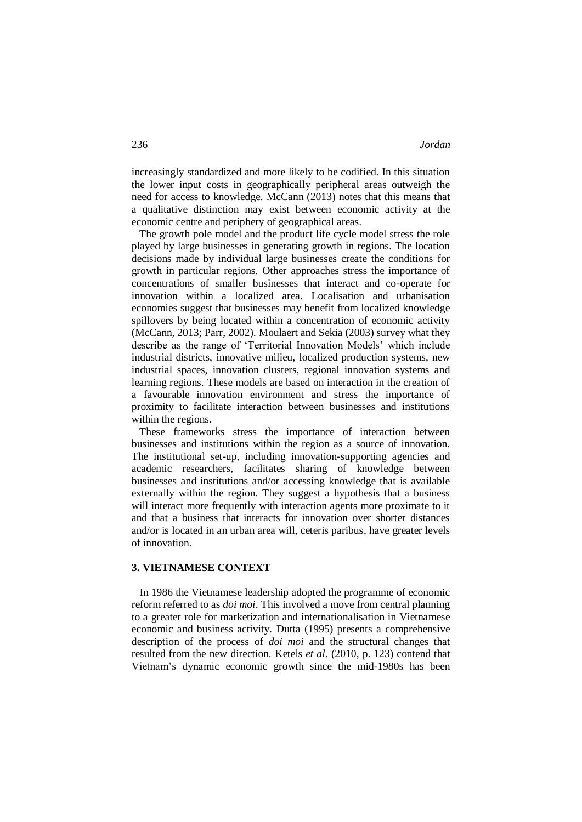increasingly standardized and more likely to be codified. In this situation the lower input costs in geographically peripheral areas outweigh the need for access to knowledge. McCann (2013) notes that this means that a qualitative distinction may exist between economic activity at the economic centre and periphery of geographical areas.

 The growth pole model and the product life cycle model stress the role played by large businesses in generating growth in regions. The location decisions made by individual large businesses create the conditions for growth in particular regions. Other approaches stress the importance of concentrations of smaller businesses that interact and co-operate for innovation within a localized area. Localisation and urbanisation economies suggest that businesses may benefit from localized knowledge spillovers by being located within a concentration of economic activity (McCann, 2013; Parr, 2002). Moulaert and Sekia (2003) survey what they describe as the range of 'Territorial Innovation Models' which include industrial districts, innovative milieu, localized production systems, new industrial spaces, innovation clusters, regional innovation systems and learning regions. These models are based on interaction in the creation of a favourable innovation environment and stress the importance of proximity to facilitate interaction between businesses and institutions within the regions.

 These frameworks stress the importance of interaction between businesses and institutions within the region as a source of innovation. The institutional set-up, including innovation-supporting agencies and academic researchers, facilitates sharing of knowledge between businesses and institutions and/or accessing knowledge that is available externally within the region. They suggest a hypothesis that a business will interact more frequently with interaction agents more proximate to it and that a business that interacts for innovation over shorter distances and/or is located in an urban area will, ceteris paribus, have greater levels of innovation.

#### **3. VIETNAMESE CONTEXT**

 In 1986 the Vietnamese leadership adopted the programme of economic reform referred to as *doi moi*. This involved a move from central planning to a greater role for marketization and internationalisation in Vietnamese economic and business activity. Dutta (1995) presents a comprehensive description of the process of *doi moi* and the structural changes that resulted from the new direction. Ketels *et al*. (2010, p. 123) contend that Vietnam's dynamic economic growth since the mid-1980s has been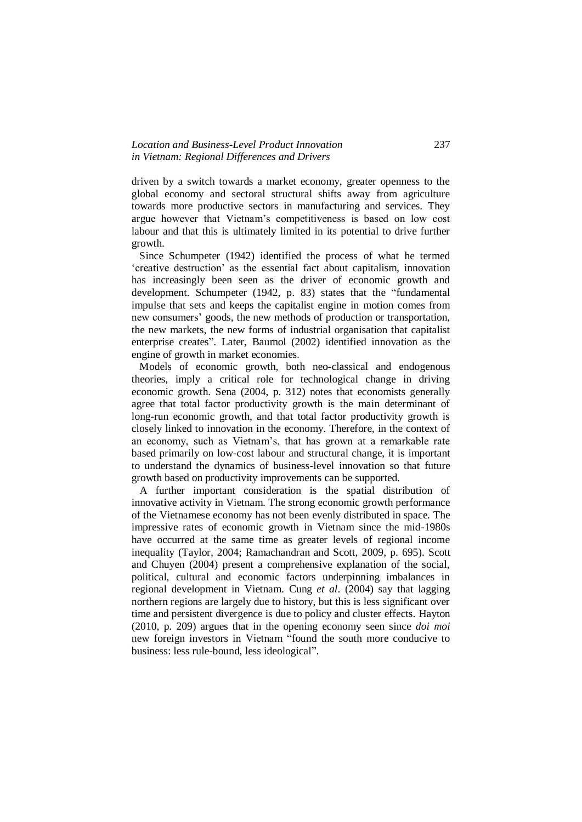#### *Location and Business-Level Product Innovation* 237 *in Vietnam: Regional Differences and Drivers*

driven by a switch towards a market economy, greater openness to the global economy and sectoral structural shifts away from agriculture towards more productive sectors in manufacturing and services. They argue however that Vietnam's competitiveness is based on low cost labour and that this is ultimately limited in its potential to drive further growth.

 Since Schumpeter (1942) identified the process of what he termed 'creative destruction' as the essential fact about capitalism, innovation has increasingly been seen as the driver of economic growth and development. Schumpeter (1942, p. 83) states that the "fundamental impulse that sets and keeps the capitalist engine in motion comes from new consumers' goods, the new methods of production or transportation, the new markets, the new forms of industrial organisation that capitalist enterprise creates". Later, Baumol (2002) identified innovation as the engine of growth in market economies.

 Models of economic growth, both neo-classical and endogenous theories, imply a critical role for technological change in driving economic growth. Sena (2004, p. 312) notes that economists generally agree that total factor productivity growth is the main determinant of long-run economic growth, and that total factor productivity growth is closely linked to innovation in the economy. Therefore, in the context of an economy, such as Vietnam's, that has grown at a remarkable rate based primarily on low-cost labour and structural change, it is important to understand the dynamics of business-level innovation so that future growth based on productivity improvements can be supported.

 A further important consideration is the spatial distribution of innovative activity in Vietnam. The strong economic growth performance of the Vietnamese economy has not been evenly distributed in space. The impressive rates of economic growth in Vietnam since the mid-1980s have occurred at the same time as greater levels of regional income inequality (Taylor, 2004; Ramachandran and Scott, 2009, p. 695). Scott and Chuyen (2004) present a comprehensive explanation of the social, political, cultural and economic factors underpinning imbalances in regional development in Vietnam. Cung *et al*. (2004) say that lagging northern regions are largely due to history, but this is less significant over time and persistent divergence is due to policy and cluster effects. Hayton (2010, p. 209) argues that in the opening economy seen since *doi moi*  new foreign investors in Vietnam "found the south more conducive to business: less rule-bound, less ideological".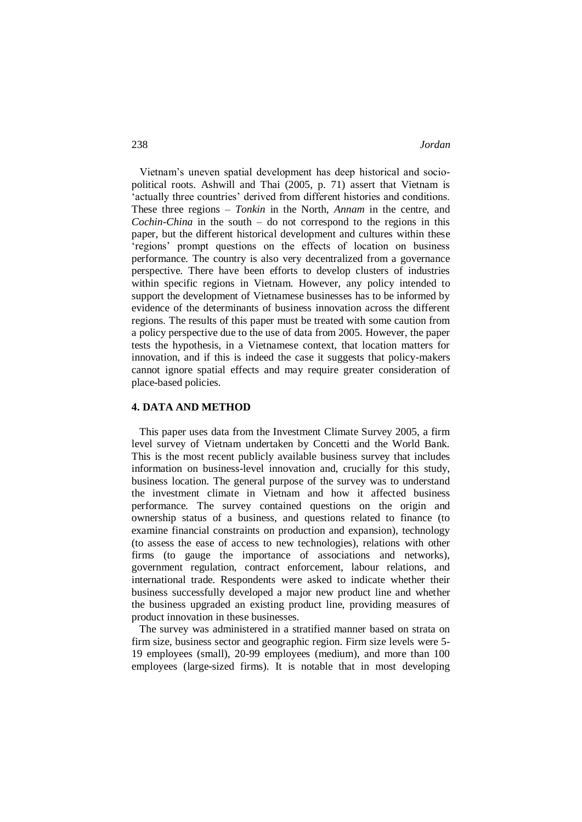Vietnam's uneven spatial development has deep historical and sociopolitical roots. Ashwill and Thai (2005, p. 71) assert that Vietnam is 'actually three countries' derived from different histories and conditions. These three regions – *Tonkin* in the North, *Annam* in the centre, and *Cochin-China* in the south – do not correspond to the regions in this paper, but the different historical development and cultures within these 'regions' prompt questions on the effects of location on business performance. The country is also very decentralized from a governance perspective. There have been efforts to develop clusters of industries within specific regions in Vietnam. However, any policy intended to support the development of Vietnamese businesses has to be informed by evidence of the determinants of business innovation across the different regions. The results of this paper must be treated with some caution from a policy perspective due to the use of data from 2005. However, the paper tests the hypothesis, in a Vietnamese context, that location matters for innovation, and if this is indeed the case it suggests that policy-makers cannot ignore spatial effects and may require greater consideration of place-based policies.

### **4. DATA AND METHOD**

 This paper uses data from the Investment Climate Survey 2005, a firm level survey of Vietnam undertaken by Concetti and the World Bank. This is the most recent publicly available business survey that includes information on business-level innovation and, crucially for this study, business location. The general purpose of the survey was to understand the investment climate in Vietnam and how it affected business performance. The survey contained questions on the origin and ownership status of a business, and questions related to finance (to examine financial constraints on production and expansion), technology (to assess the ease of access to new technologies), relations with other firms (to gauge the importance of associations and networks), government regulation, contract enforcement, labour relations, and international trade. Respondents were asked to indicate whether their business successfully developed a major new product line and whether the business upgraded an existing product line, providing measures of product innovation in these businesses.

 The survey was administered in a stratified manner based on strata on firm size, business sector and geographic region. Firm size levels were 5- 19 employees (small), 20-99 employees (medium), and more than 100 employees (large-sized firms). It is notable that in most developing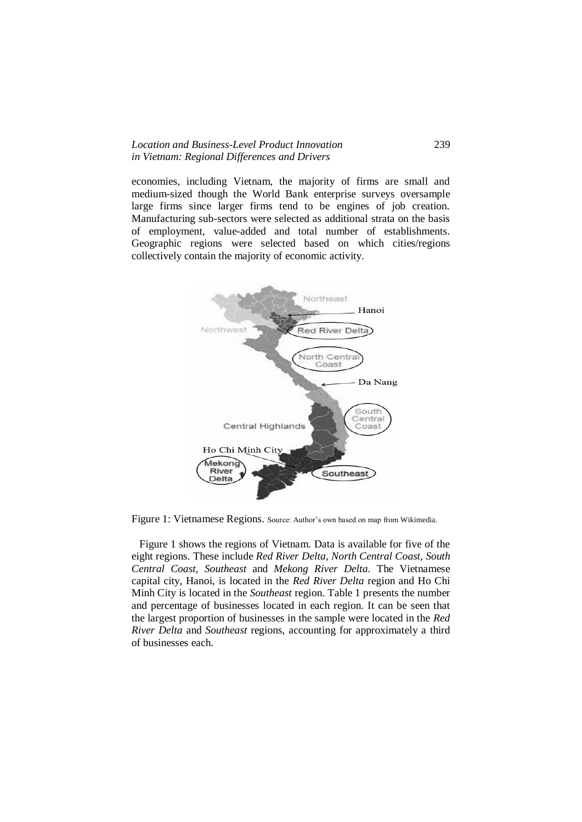#### *Location and Business-Level Product Innovation* 239 *in Vietnam: Regional Differences and Drivers*

economies, including Vietnam, the majority of firms are small and medium-sized though the World Bank enterprise surveys oversample large firms since larger firms tend to be engines of job creation. Manufacturing sub-sectors were selected as additional strata on the basis of employment, value-added and total number of establishments. Geographic regions were selected based on which cities/regions collectively contain the majority of economic activity.



Figure 1: Vietnamese Regions. Source: Author's own based on map from Wikimedia.

 Figure 1 shows the regions of Vietnam. Data is available for five of the eight regions. These include *Red River Delta, North Central Coast, South Central Coast, Southeast* and *Mekong River Delta*. The Vietnamese capital city, Hanoi, is located in the *Red River Delta* region and Ho Chi Minh City is located in the *Southeast* region. Table 1 presents the number and percentage of businesses located in each region. It can be seen that the largest proportion of businesses in the sample were located in the *Red River Delta* and *Southeast* regions, accounting for approximately a third of businesses each.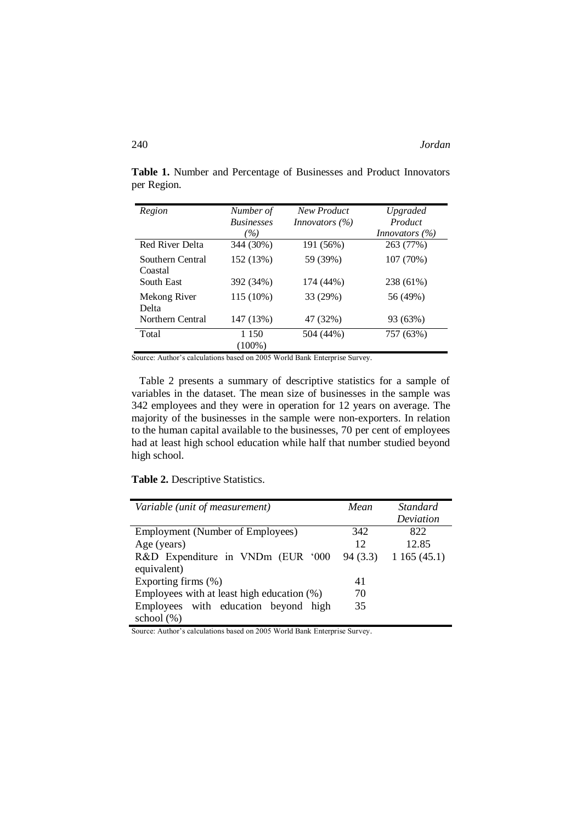| Region                      | Number of<br><b>Businesses</b><br>$( \% )$ | New Product<br><i>Innovators</i> $(\%)$ | Upgraded<br>Product<br><i>Innovators</i> $(\%)$ |
|-----------------------------|--------------------------------------------|-----------------------------------------|-------------------------------------------------|
| <b>Red River Delta</b>      | 344 (30%)                                  | 191 (56%)                               | 263 (77%)                                       |
| Southern Central<br>Coastal | 152 (13%)                                  | 59 (39%)                                | 107 (70%)                                       |
| South East                  | 392 (34%)                                  | 174 (44%)                               | 238 (61%)                                       |
| Mekong River<br>Delta       | 115 (10%)                                  | 33 (29%)                                | 56 (49%)                                        |
| Northern Central            | 147 (13%)                                  | 47 (32%)                                | 93 (63%)                                        |
| Total                       | 1 1 5 0<br>$(100\%)$                       | 504 (44%)                               | 757 (63%)                                       |

**Table 1.** Number and Percentage of Businesses and Product Innovators per Region.

Source: Author's calculations based on 2005 World Bank Enterprise Survey.

 Table 2 presents a summary of descriptive statistics for a sample of variables in the dataset. The mean size of businesses in the sample was 342 employees and they were in operation for 12 years on average. The majority of the businesses in the sample were non-exporters. In relation to the human capital available to the businesses, 70 per cent of employees had at least high school education while half that number studied beyond high school.

**Table 2.** Descriptive Statistics.

| Variable (unit of measurement)             | Mean    | <i>Standard</i> |
|--------------------------------------------|---------|-----------------|
|                                            |         | Deviation       |
| <b>Employment (Number of Employees)</b>    | 342     | 822             |
| Age (years)                                | 12      | 12.85           |
| R&D Expenditure in VNDm (EUR '000          | 94(3.3) | 1165(45.1)      |
| equivalent)                                |         |                 |
| Exporting firms $(\%)$                     | 41      |                 |
| Employees with at least high education (%) | 70      |                 |
| Employees with education beyond high       | 35      |                 |
| school $(\%)$                              |         |                 |

Source: Author's calculations based on 2005 World Bank Enterprise Survey.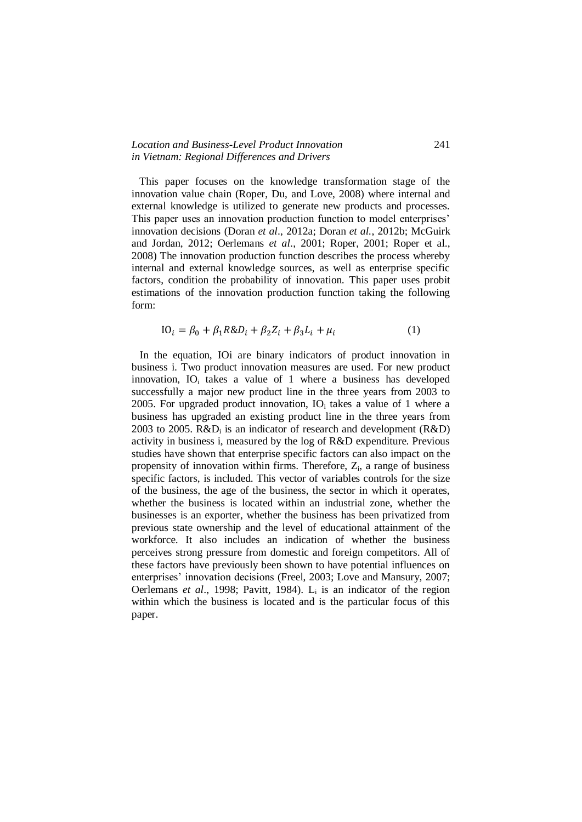#### *Location and Business-Level Product Innovation* 241 *in Vietnam: Regional Differences and Drivers*

 This paper focuses on the knowledge transformation stage of the innovation value chain (Roper, Du, and Love, 2008) where internal and external knowledge is utilized to generate new products and processes. This paper uses an innovation production function to model enterprises' innovation decisions (Doran *et al*., 2012a; Doran *et al.*, 2012b; McGuirk and Jordan, 2012; Oerlemans *et al*., 2001; Roper, 2001; Roper et al., 2008) The innovation production function describes the process whereby internal and external knowledge sources, as well as enterprise specific factors, condition the probability of innovation. This paper uses probit estimations of the innovation production function taking the following form:

$$
IO_i = \beta_0 + \beta_1 R \& D_i + \beta_2 Z_i + \beta_3 L_i + \mu_i \tag{1}
$$

 In the equation, IOi are binary indicators of product innovation in business i. Two product innovation measures are used. For new product innovation,  $IO_i$  takes a value of 1 where a business has developed successfully a major new product line in the three years from 2003 to 2005. For upgraded product innovation,  $IO<sub>i</sub>$  takes a value of 1 where a business has upgraded an existing product line in the three years from 2003 to 2005.  $R&D_i$  is an indicator of research and development  $(R&D)$ activity in business i, measured by the log of R&D expenditure. Previous studies have shown that enterprise specific factors can also impact on the propensity of innovation within firms. Therefore,  $Z_i$ , a range of business specific factors, is included. This vector of variables controls for the size of the business, the age of the business, the sector in which it operates, whether the business is located within an industrial zone, whether the businesses is an exporter, whether the business has been privatized from previous state ownership and the level of educational attainment of the workforce. It also includes an indication of whether the business perceives strong pressure from domestic and foreign competitors. All of these factors have previously been shown to have potential influences on enterprises' innovation decisions (Freel, 2003; Love and Mansury, 2007; Oerlemans *et al.*, 1998; Pavitt, 1984). L<sub>i</sub> is an indicator of the region within which the business is located and is the particular focus of this paper.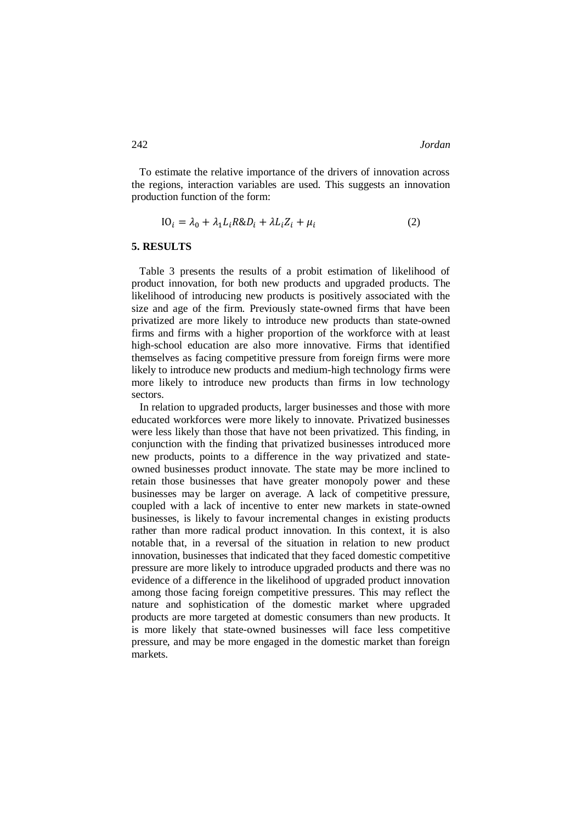To estimate the relative importance of the drivers of innovation across the regions, interaction variables are used. This suggests an innovation production function of the form:

$$
IO_i = \lambda_0 + \lambda_1 L_i R \& D_i + \lambda L_i Z_i + \mu_i
$$
\n<sup>(2)</sup>

#### **5. RESULTS**

 Table 3 presents the results of a probit estimation of likelihood of product innovation, for both new products and upgraded products. The likelihood of introducing new products is positively associated with the size and age of the firm. Previously state-owned firms that have been privatized are more likely to introduce new products than state-owned firms and firms with a higher proportion of the workforce with at least high-school education are also more innovative. Firms that identified themselves as facing competitive pressure from foreign firms were more likely to introduce new products and medium-high technology firms were more likely to introduce new products than firms in low technology sectors.

 In relation to upgraded products, larger businesses and those with more educated workforces were more likely to innovate. Privatized businesses were less likely than those that have not been privatized. This finding, in conjunction with the finding that privatized businesses introduced more new products, points to a difference in the way privatized and stateowned businesses product innovate. The state may be more inclined to retain those businesses that have greater monopoly power and these businesses may be larger on average. A lack of competitive pressure, coupled with a lack of incentive to enter new markets in state-owned businesses, is likely to favour incremental changes in existing products rather than more radical product innovation. In this context, it is also notable that, in a reversal of the situation in relation to new product innovation, businesses that indicated that they faced domestic competitive pressure are more likely to introduce upgraded products and there was no evidence of a difference in the likelihood of upgraded product innovation among those facing foreign competitive pressures. This may reflect the nature and sophistication of the domestic market where upgraded products are more targeted at domestic consumers than new products. It is more likely that state-owned businesses will face less competitive pressure, and may be more engaged in the domestic market than foreign markets.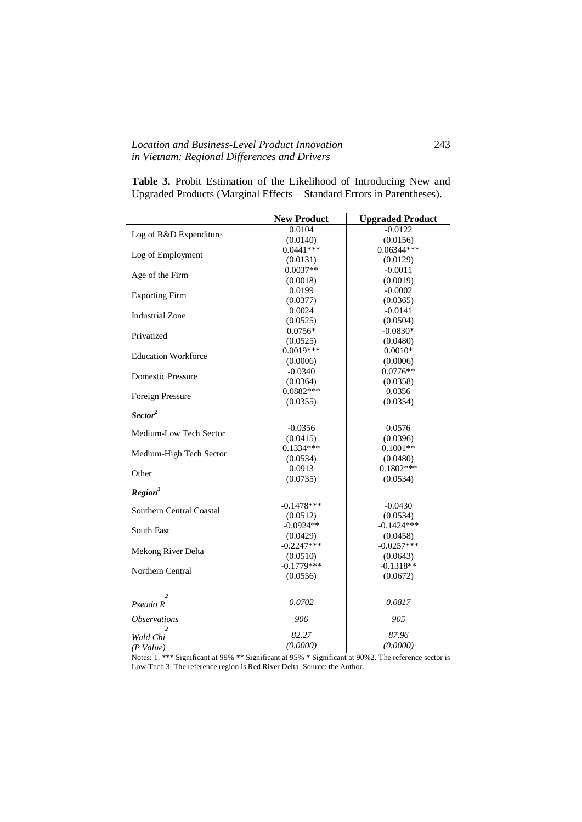### *Location and Business-Level Product Innovation* 243 *in Vietnam: Regional Differences and Drivers*

|                                      | <b>New Product</b>      | <b>Upgraded Product</b> |
|--------------------------------------|-------------------------|-------------------------|
|                                      | 0.0104                  | $-0.0122$               |
| Log of R&D Expenditure               | (0.0140)                | (0.0156)                |
|                                      | $0.0441***$             | $0.06344***$            |
| Log of Employment                    | (0.0131)                | (0.0129)                |
|                                      | $0.0037**$              | $-0.0011$               |
| Age of the Firm                      | (0.0018)                | (0.0019)                |
|                                      | 0.0199                  | $-0.0002$               |
| <b>Exporting Firm</b>                | (0.0377)                | (0.0365)                |
|                                      | 0.0024                  | $-0.0141$               |
| <b>Industrial Zone</b>               | (0.0525)                | (0.0504)                |
|                                      | $0.0756*$               | $-0.0830*$              |
| Privatized                           | (0.0525)                | (0.0480)                |
|                                      | $0.0019***$             | $0.0010*$               |
| <b>Education Workforce</b>           | (0.0006)                | (0.0006)                |
|                                      | $-0.0340$               | $0.0776**$              |
| <b>Domestic Pressure</b>             | (0.0364)                | (0.0358)                |
|                                      | $0.0882***$             | 0.0356                  |
| Foreign Pressure                     | (0.0355)                | (0.0354)                |
| Sector <sup>2</sup>                  |                         |                         |
|                                      |                         |                         |
| Medium-Low Tech Sector               | $-0.0356$               | 0.0576                  |
|                                      | (0.0415)<br>$0.1334***$ | (0.0396)<br>$0.1001**$  |
| Medium-High Tech Sector              |                         |                         |
|                                      | (0.0534)                | (0.0480)                |
| Other                                | 0.0913                  | $0.1802***$             |
|                                      | (0.0735)                | (0.0534)                |
| Region <sup>3</sup>                  |                         |                         |
| Southern Central Coastal             | $-0.1478***$            | $-0.0430$               |
|                                      | (0.0512)                | (0.0534)                |
| South East                           | $-0.0924**$             | $-0.1424***$            |
|                                      | (0.0429)                | (0.0458)                |
| Mekong River Delta                   | $-0.2247***$            | $-0.0257***$            |
|                                      | (0.0510)                | (0.0643)                |
| Northern Central                     | $-0.1779***$            | $-0.1318**$             |
|                                      | (0.0556)                | (0.0672)                |
| $\mathfrak{D}$                       |                         |                         |
| Pseudo R                             | 0.0702                  | 0.0817                  |
| <i><b>Observations</b></i>           | 906                     | 905                     |
| $\overline{\phantom{a}}$<br>Wald Chi | 82.27                   | 87.96                   |
| $(P$ Value)                          | (0.0000)                | (0.0000)                |

**Table 3.** Probit Estimation of the Likelihood of Introducing New and Upgraded Products (Marginal Effects – Standard Errors in Parentheses).

Notes: 1. \*\*\* Significant at 99% \*\* Significant at 95% \* Significant at 90%2. The reference sector is Low-Tech 3. The reference region is Red River Delta. Source: the Author.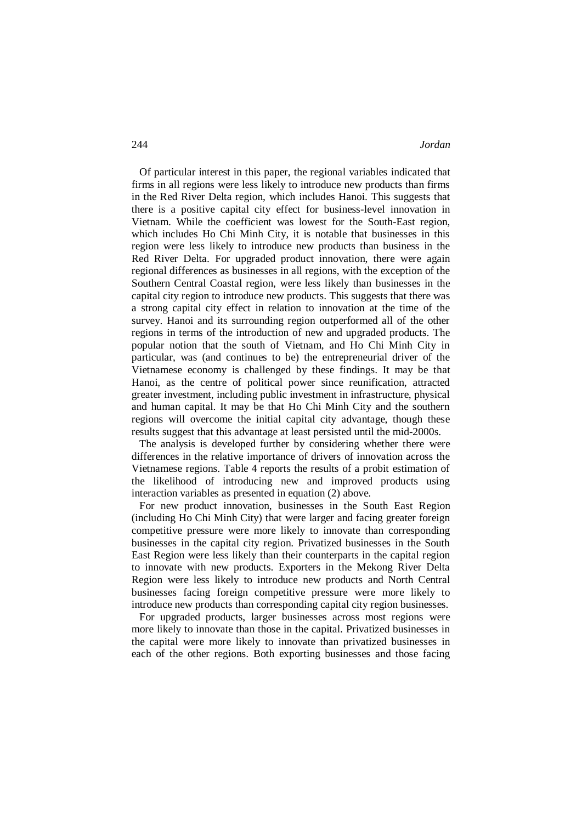Of particular interest in this paper, the regional variables indicated that firms in all regions were less likely to introduce new products than firms in the Red River Delta region, which includes Hanoi. This suggests that there is a positive capital city effect for business-level innovation in Vietnam. While the coefficient was lowest for the South-East region, which includes Ho Chi Minh City, it is notable that businesses in this region were less likely to introduce new products than business in the Red River Delta. For upgraded product innovation, there were again regional differences as businesses in all regions, with the exception of the Southern Central Coastal region, were less likely than businesses in the capital city region to introduce new products. This suggests that there was a strong capital city effect in relation to innovation at the time of the survey. Hanoi and its surrounding region outperformed all of the other regions in terms of the introduction of new and upgraded products. The popular notion that the south of Vietnam, and Ho Chi Minh City in particular, was (and continues to be) the entrepreneurial driver of the Vietnamese economy is challenged by these findings. It may be that Hanoi, as the centre of political power since reunification, attracted greater investment, including public investment in infrastructure, physical and human capital. It may be that Ho Chi Minh City and the southern regions will overcome the initial capital city advantage, though these results suggest that this advantage at least persisted until the mid-2000s.

 The analysis is developed further by considering whether there were differences in the relative importance of drivers of innovation across the Vietnamese regions. Table 4 reports the results of a probit estimation of the likelihood of introducing new and improved products using interaction variables as presented in equation (2) above.

 For new product innovation, businesses in the South East Region (including Ho Chi Minh City) that were larger and facing greater foreign competitive pressure were more likely to innovate than corresponding businesses in the capital city region. Privatized businesses in the South East Region were less likely than their counterparts in the capital region to innovate with new products. Exporters in the Mekong River Delta Region were less likely to introduce new products and North Central businesses facing foreign competitive pressure were more likely to introduce new products than corresponding capital city region businesses.

 For upgraded products, larger businesses across most regions were more likely to innovate than those in the capital. Privatized businesses in the capital were more likely to innovate than privatized businesses in each of the other regions. Both exporting businesses and those facing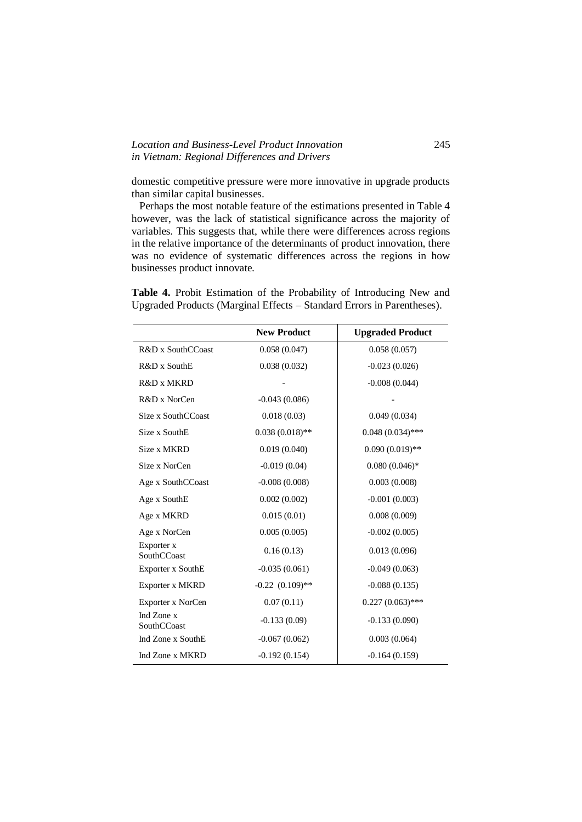### *Location and Business-Level Product Innovation* 245 *in Vietnam: Regional Differences and Drivers*

 $\overline{a}$ 

 $\ddot{\phantom{0}}$ 

domestic competitive pressure were more innovative in upgrade products than similar capital businesses.

 Perhaps the most notable feature of the estimations presented in Table 4 however, was the lack of statistical significance across the majority of variables. This suggests that, while there were differences across regions in the relative importance of the determinants of product innovation, there was no evidence of systematic differences across the regions in how businesses product innovate.

|  |  |  |  | Table 4. Probit Estimation of the Probability of Introducing New and   |  |
|--|--|--|--|------------------------------------------------------------------------|--|
|  |  |  |  | Upgraded Products (Marginal Effects – Standard Errors in Parentheses). |  |

|                           | <b>New Product</b>   | <b>Upgraded Product</b> |
|---------------------------|----------------------|-------------------------|
| R&D x SouthCCoast         | 0.058(0.047)         | 0.058(0.057)            |
| R&D x SouthE              | 0.038(0.032)         | $-0.023(0.026)$         |
| R&D x MKRD                |                      | $-0.008(0.044)$         |
| R&D x NorCen              | $-0.043(0.086)$      |                         |
| Size x SouthCCoast        | 0.018(0.03)          | 0.049(0.034)            |
| Size x SouthE             | $0.038(0.018)$ **    | $0.048(0.034)$ ***      |
| Size x MKRD               | 0.019(0.040)         | $0.090(0.019)$ **       |
| Size x NorCen             | $-0.019(0.04)$       | $0.080(0.046)*$         |
| Age x SouthCCoast         | $-0.008(0.008)$      | 0.003(0.008)            |
| Age x SouthE              | 0.002(0.002)         | $-0.001(0.003)$         |
| Age x MKRD                | 0.015(0.01)          | 0.008(0.009)            |
| Age x NorCen              | 0.005(0.005)         | $-0.002(0.005)$         |
| Exporter x<br>SouthCCoast | 0.16(0.13)           | 0.013(0.096)            |
| Exporter x SouthE         | $-0.035(0.061)$      | $-0.049(0.063)$         |
| Exporter x MKRD           | $-0.22$ $(0.109)$ ** | $-0.088(0.135)$         |
| Exporter x NorCen         | 0.07(0.11)           | $0.227(0.063)$ ***      |
| Ind Zone x<br>SouthCCoast | $-0.133(0.09)$       | $-0.133(0.090)$         |
| Ind Zone x SouthE         | $-0.067(0.062)$      | 0.003(0.064)            |
| Ind Zone x MKRD           | $-0.192(0.154)$      | $-0.164(0.159)$         |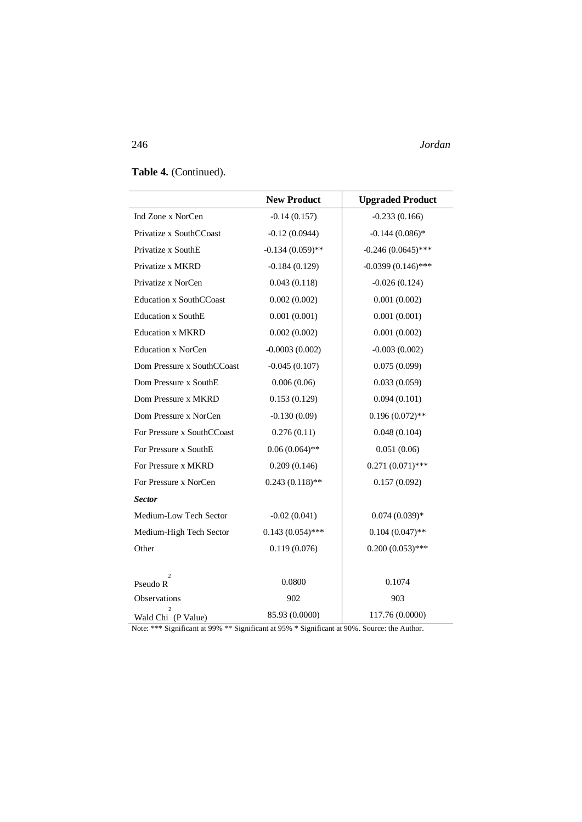246 *Jordan*

## **Table 4.** (Continued).

|                                | <b>New Product</b> | <b>Upgraded Product</b> |
|--------------------------------|--------------------|-------------------------|
| Ind Zone x NorCen              | $-0.14(0.157)$     | $-0.233(0.166)$         |
| Privatize x SouthCCoast        | $-0.12(0.0944)$    | $-0.144(0.086)*$        |
| Privatize x SouthE             | $-0.134(0.059)$ ** | $-0.246(0.0645)$ ***    |
| Privatize x MKRD               | $-0.184(0.129)$    | $-0.0399(0.146)$ ***    |
| Privatize x NorCen             | 0.043(0.118)       | $-0.026(0.124)$         |
| <b>Education x SouthCCoast</b> | 0.002(0.002)       | 0.001(0.002)            |
| <b>Education x SouthE</b>      | 0.001(0.001)       | 0.001(0.001)            |
| <b>Education x MKRD</b>        | 0.002(0.002)       | 0.001(0.002)            |
| <b>Education x NorCen</b>      | $-0.0003(0.002)$   | $-0.003(0.002)$         |
| Dom Pressure x SouthCCoast     | $-0.045(0.107)$    | 0.075(0.099)            |
| Dom Pressure x SouthE          | 0.006(0.06)        | 0.033(0.059)            |
| Dom Pressure x MKRD            | 0.153(0.129)       | 0.094(0.101)            |
| Dom Pressure x NorCen          | $-0.130(0.09)$     | $0.196(0.072)$ **       |
| For Pressure x SouthCCoast     | 0.276(0.11)        | 0.048(0.104)            |
| For Pressure x SouthE          | $0.06(0.064)$ **   | 0.051(0.06)             |
| For Pressure x MKRD            | 0.209(0.146)       | $0.271(0.071)$ ***      |
| For Pressure x NorCen          | $0.243(0.118)$ **  | 0.157(0.092)            |
| <b>Sector</b>                  |                    |                         |
| Medium-Low Tech Sector         | $-0.02(0.041)$     | $0.074(0.039)*$         |
| Medium-High Tech Sector        | $0.143(0.054)$ *** | $0.104(0.047)$ **       |
| Other                          | 0.119(0.076)       | $0.200(0.053)$ ***      |
| $\overline{c}$                 | 0.0800             | 0.1074                  |
| Pseudo R<br>Observations       | 902                | 903                     |
|                                | 85.93 (0.0000)     | 117.76 (0.0000)         |
| Wald Chi (P Value)             |                    |                         |

Note: \*\*\* Significant at 99% \*\* Significant at 95% \* Significant at 90%. Source: the Author.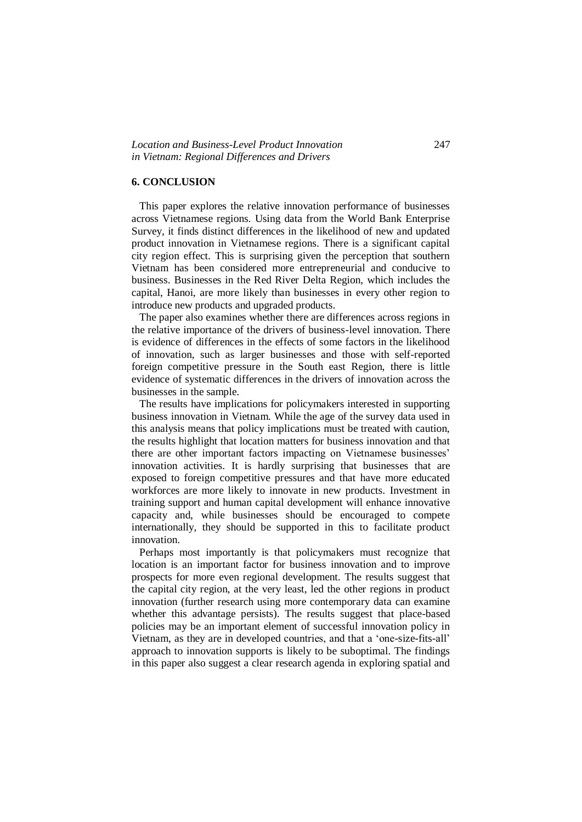#### **6. CONCLUSION**

 This paper explores the relative innovation performance of businesses across Vietnamese regions. Using data from the World Bank Enterprise Survey, it finds distinct differences in the likelihood of new and updated product innovation in Vietnamese regions. There is a significant capital city region effect. This is surprising given the perception that southern Vietnam has been considered more entrepreneurial and conducive to business. Businesses in the Red River Delta Region, which includes the capital, Hanoi, are more likely than businesses in every other region to introduce new products and upgraded products.

 The paper also examines whether there are differences across regions in the relative importance of the drivers of business-level innovation. There is evidence of differences in the effects of some factors in the likelihood of innovation, such as larger businesses and those with self-reported foreign competitive pressure in the South east Region, there is little evidence of systematic differences in the drivers of innovation across the businesses in the sample.

 The results have implications for policymakers interested in supporting business innovation in Vietnam. While the age of the survey data used in this analysis means that policy implications must be treated with caution, the results highlight that location matters for business innovation and that there are other important factors impacting on Vietnamese businesses' innovation activities. It is hardly surprising that businesses that are exposed to foreign competitive pressures and that have more educated workforces are more likely to innovate in new products. Investment in training support and human capital development will enhance innovative capacity and, while businesses should be encouraged to compete internationally, they should be supported in this to facilitate product innovation.

 Perhaps most importantly is that policymakers must recognize that location is an important factor for business innovation and to improve prospects for more even regional development. The results suggest that the capital city region, at the very least, led the other regions in product innovation (further research using more contemporary data can examine whether this advantage persists). The results suggest that place-based policies may be an important element of successful innovation policy in Vietnam, as they are in developed countries, and that a 'one-size-fits-all' approach to innovation supports is likely to be suboptimal. The findings in this paper also suggest a clear research agenda in exploring spatial and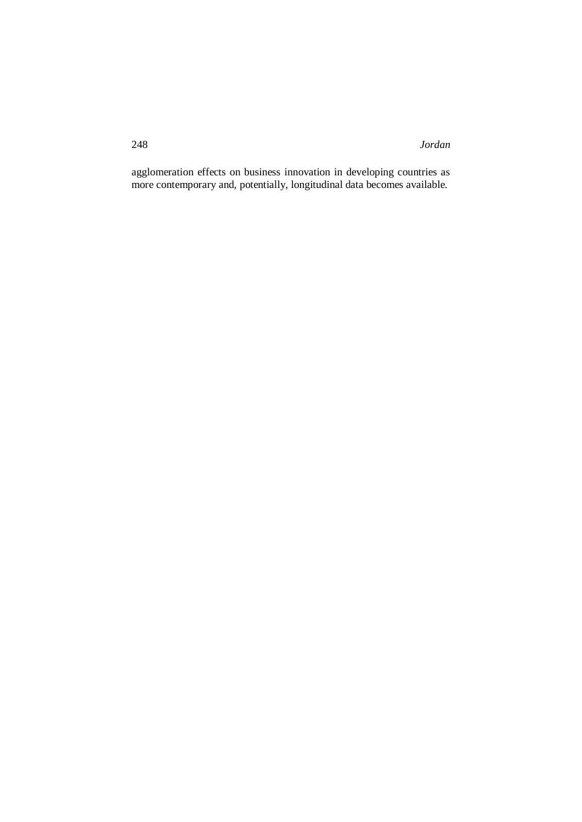248 *Jordan*

agglomeration effects on business innovation in developing countries as more contemporary and, potentially, longitudinal data becomes available.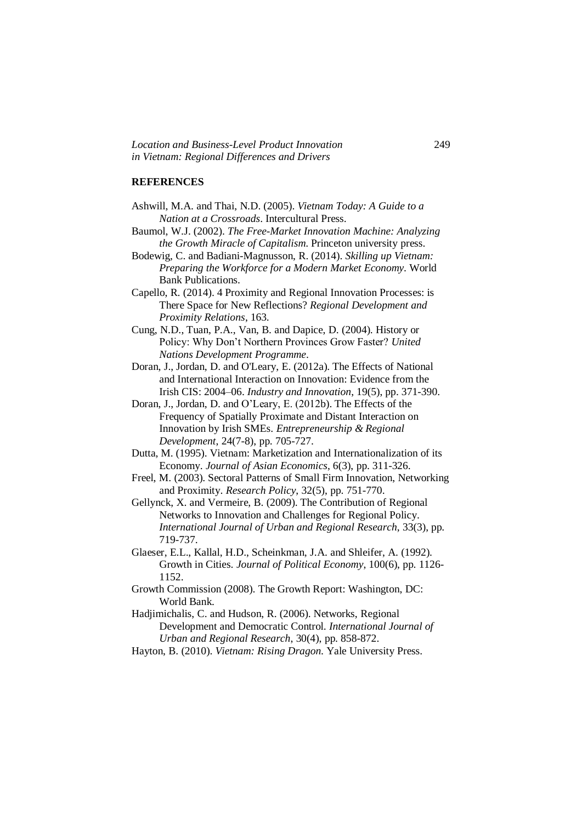*Location and Business-Level Product Innovation* 249 *in Vietnam: Regional Differences and Drivers*

#### **REFERENCES**

- Ashwill, M.A. and Thai, N.D. (2005). *Vietnam Today: A Guide to a Nation at a Crossroads*. Intercultural Press.
- Baumol, W.J. (2002). *The Free-Market Innovation Machine: Analyzing the Growth Miracle of Capitalism*. Princeton university press.
- Bodewig, C. and Badiani-Magnusson, R. (2014). *Skilling up Vietnam: Preparing the Workforce for a Modern Market Economy*. World Bank Publications.
- Capello, R. (2014). 4 Proximity and Regional Innovation Processes: is There Space for New Reflections? *Regional Development and Proximity Relations*, 163.
- Cung, N.D., Tuan, P.A., Van, B. and Dapice, D. (2004). History or Policy: Why Don't Northern Provinces Grow Faster? *United Nations Development Programme*.
- Doran, J., Jordan, D. and O'Leary, E. (2012a). The Effects of National and International Interaction on Innovation: Evidence from the Irish CIS: 2004–06. *Industry and Innovation*, 19(5), pp. 371-390.
- Doran, J., Jordan, D. and O'Leary, E. (2012b). The Effects of the Frequency of Spatially Proximate and Distant Interaction on Innovation by Irish SMEs. *Entrepreneurship & Regional Development*, 24(7-8), pp. 705-727.
- Dutta, M. (1995). Vietnam: Marketization and Internationalization of its Economy. *Journal of Asian Economics*, 6(3), pp. 311-326.
- Freel, M. (2003). Sectoral Patterns of Small Firm Innovation, Networking and Proximity. *Research Policy*, 32(5), pp. 751-770.
- Gellynck, X. and Vermeire, B. (2009). The Contribution of Regional Networks to Innovation and Challenges for Regional Policy. *International Journal of Urban and Regional Research*, 33(3), pp. 719-737.
- Glaeser, E.L., Kallal, H.D., Scheinkman, J.A. and Shleifer, A. (1992). Growth in Cities. *Journal of Political Economy*, 100(6), pp. 1126- 1152.
- Growth Commission (2008). The Growth Report: Washington, DC: World Bank.
- Hadjimichalis, C. and Hudson, R. (2006). Networks, Regional Development and Democratic Control. *International Journal of Urban and Regional Research*, 30(4), pp. 858-872.
- Hayton, B. (2010). *Vietnam: Rising Dragon*. Yale University Press.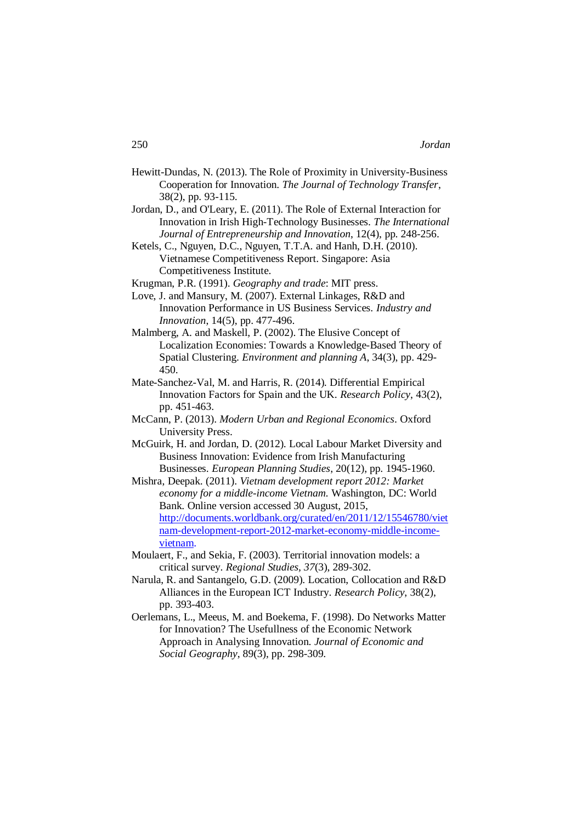- Hewitt-Dundas, N. (2013). The Role of Proximity in University-Business Cooperation for Innovation. *The Journal of Technology Transfer*, 38(2), pp. 93-115.
- Jordan, D., and O'Leary, E. (2011). The Role of External Interaction for Innovation in Irish High-Technology Businesses. *The International Journal of Entrepreneurship and Innovation*, 12(4), pp. 248-256.
- Ketels, C., Nguyen, D.C., Nguyen, T.T.A. and Hanh, D.H. (2010). Vietnamese Competitiveness Report. Singapore: Asia Competitiveness Institute.
- Krugman, P.R. (1991). *Geography and trade*: MIT press.
- Love, J. and Mansury, M. (2007). External Linkages, R&D and Innovation Performance in US Business Services. *Industry and Innovation*, 14(5), pp. 477-496.
- Malmberg, A. and Maskell, P. (2002). The Elusive Concept of Localization Economies: Towards a Knowledge-Based Theory of Spatial Clustering. *Environment and planning A*, 34(3), pp. 429- 450.
- Mate-Sanchez-Val, M. and Harris, R. (2014). Differential Empirical Innovation Factors for Spain and the UK. *Research Policy*, 43(2), pp. 451-463.
- McCann, P. (2013). *Modern Urban and Regional Economics*. Oxford University Press.
- McGuirk, H. and Jordan, D. (2012). Local Labour Market Diversity and Business Innovation: Evidence from Irish Manufacturing Businesses. *European Planning Studies*, 20(12), pp. 1945-1960.
- Mishra, Deepak. (2011). *Vietnam development report 2012: Market economy for a middle-income Vietnam.* Washington, DC: World Bank. Online version accessed 30 August, 2015, http://documents.worldbank.org/curated/en/2011/12/15546780/viet nam-development-report-2012-market-economy-middle-incomevietnam.
- Moulaert, F., and Sekia, F. (2003). Territorial innovation models: a critical survey. *Regional Studies, 37*(3), 289-302.
- Narula, R. and Santangelo, G.D. (2009). Location, Collocation and R&D Alliances in the European ICT Industry. *Research Policy*, 38(2), pp. 393-403.
- Oerlemans, L., Meeus, M. and Boekema, F. (1998). Do Networks Matter for Innovation? The Usefullness of the Economic Network Approach in Analysing Innovation. *Journal of Economic and Social Geography*, 89(3), pp. 298-309.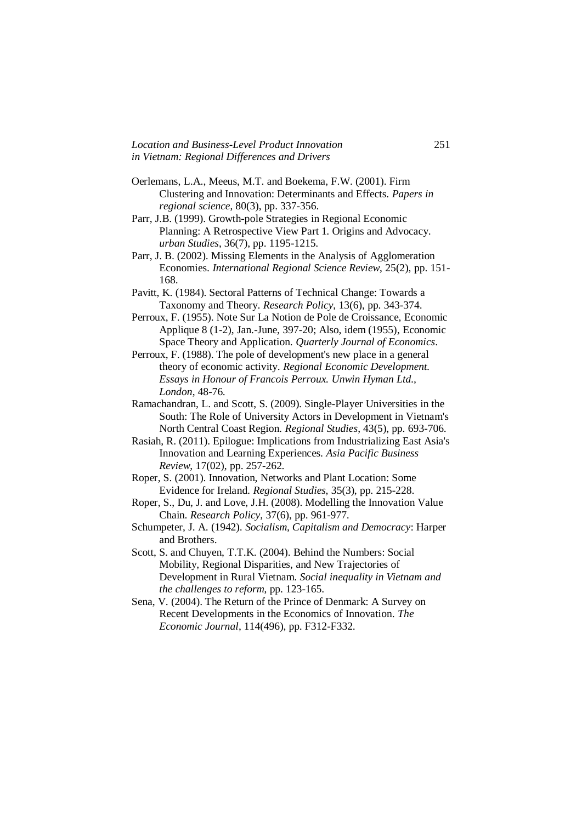*Location and Business-Level Product Innovation* 251 *in Vietnam: Regional Differences and Drivers*

- Oerlemans, L.A., Meeus, M.T. and Boekema, F.W. (2001). Firm Clustering and Innovation: Determinants and Effects. *Papers in regional science*, 80(3), pp. 337-356.
- Parr, J.B. (1999). Growth-pole Strategies in Regional Economic Planning: A Retrospective View Part 1. Origins and Advocacy. *urban Studies*, 36(7), pp. 1195-1215.
- Parr, J. B. (2002). Missing Elements in the Analysis of Agglomeration Economies. *International Regional Science Review*, 25(2), pp. 151- 168.
- Pavitt, K. (1984). Sectoral Patterns of Technical Change: Towards a Taxonomy and Theory. *Research Policy*, 13(6), pp. 343-374.
- Perroux, F. (1955). Note Sur La Notion de Pole de Croissance, Economic Applique 8 (1-2), Jan.-June, 397-20; Also, idem (1955), Economic Space Theory and Application. *Quarterly Journal of Economics*.
- Perroux, F. (1988). The pole of development's new place in a general theory of economic activity. *Regional Economic Development. Essays in Honour of Francois Perroux. Unwin Hyman Ltd., London*, 48-76.
- Ramachandran, L. and Scott, S. (2009). Single-Player Universities in the South: The Role of University Actors in Development in Vietnam's North Central Coast Region. *Regional Studies*, 43(5), pp. 693-706.
- Rasiah, R. (2011). Epilogue: Implications from Industrializing East Asia's Innovation and Learning Experiences. *Asia Pacific Business Review*, 17(02), pp. 257-262.
- Roper, S. (2001). Innovation, Networks and Plant Location: Some Evidence for Ireland. *Regional Studies*, 35(3), pp. 215-228.
- Roper, S., Du, J. and Love, J.H. (2008). Modelling the Innovation Value Chain. *Research Policy*, 37(6), pp. 961-977.
- Schumpeter, J. A. (1942). *Socialism, Capitalism and Democracy*: Harper and Brothers.
- Scott, S. and Chuyen, T.T.K. (2004). Behind the Numbers: Social Mobility, Regional Disparities, and New Trajectories of Development in Rural Vietnam. *Social inequality in Vietnam and the challenges to reform*, pp. 123-165.
- Sena, V. (2004). The Return of the Prince of Denmark: A Survey on Recent Developments in the Economics of Innovation. *The Economic Journal*, 114(496), pp. F312-F332.